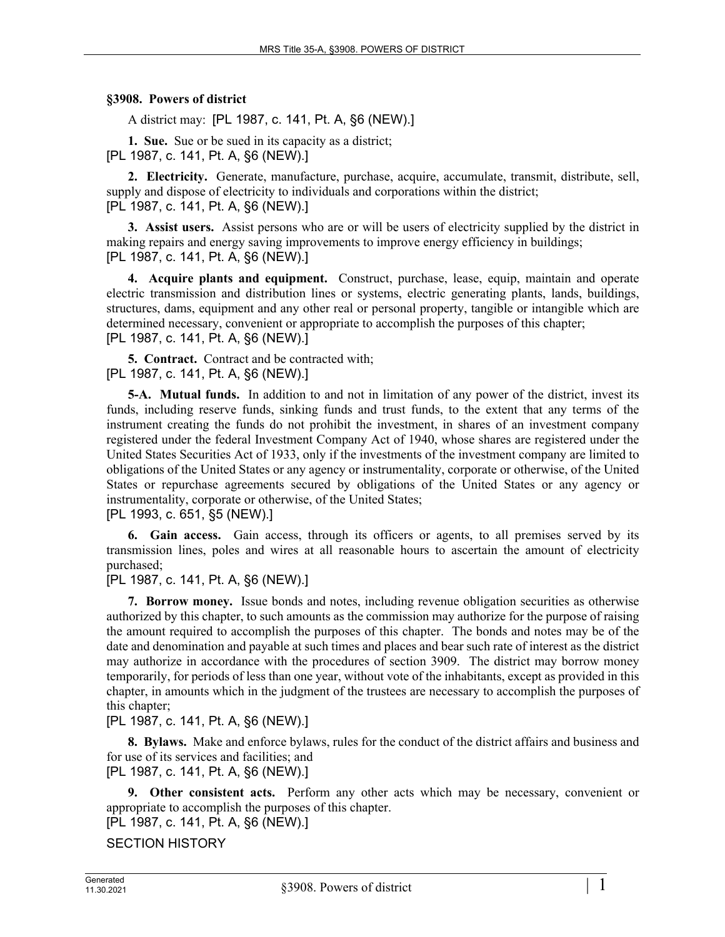## **§3908. Powers of district**

A district may: [PL 1987, c. 141, Pt. A, §6 (NEW).]

**1. Sue.** Sue or be sued in its capacity as a district; [PL 1987, c. 141, Pt. A, §6 (NEW).]

**2. Electricity.** Generate, manufacture, purchase, acquire, accumulate, transmit, distribute, sell, supply and dispose of electricity to individuals and corporations within the district; [PL 1987, c. 141, Pt. A, §6 (NEW).]

**3. Assist users.** Assist persons who are or will be users of electricity supplied by the district in making repairs and energy saving improvements to improve energy efficiency in buildings; [PL 1987, c. 141, Pt. A, §6 (NEW).]

**4. Acquire plants and equipment.** Construct, purchase, lease, equip, maintain and operate electric transmission and distribution lines or systems, electric generating plants, lands, buildings, structures, dams, equipment and any other real or personal property, tangible or intangible which are determined necessary, convenient or appropriate to accomplish the purposes of this chapter; [PL 1987, c. 141, Pt. A, §6 (NEW).]

**5. Contract.** Contract and be contracted with; [PL 1987, c. 141, Pt. A, §6 (NEW).]

**5-A. Mutual funds.** In addition to and not in limitation of any power of the district, invest its funds, including reserve funds, sinking funds and trust funds, to the extent that any terms of the instrument creating the funds do not prohibit the investment, in shares of an investment company registered under the federal Investment Company Act of 1940, whose shares are registered under the United States Securities Act of 1933, only if the investments of the investment company are limited to obligations of the United States or any agency or instrumentality, corporate or otherwise, of the United States or repurchase agreements secured by obligations of the United States or any agency or instrumentality, corporate or otherwise, of the United States;

[PL 1993, c. 651, §5 (NEW).]

**6. Gain access.** Gain access, through its officers or agents, to all premises served by its transmission lines, poles and wires at all reasonable hours to ascertain the amount of electricity purchased;

[PL 1987, c. 141, Pt. A, §6 (NEW).]

**7. Borrow money.** Issue bonds and notes, including revenue obligation securities as otherwise authorized by this chapter, to such amounts as the commission may authorize for the purpose of raising the amount required to accomplish the purposes of this chapter. The bonds and notes may be of the date and denomination and payable at such times and places and bear such rate of interest as the district may authorize in accordance with the procedures of section 3909. The district may borrow money temporarily, for periods of less than one year, without vote of the inhabitants, except as provided in this chapter, in amounts which in the judgment of the trustees are necessary to accomplish the purposes of this chapter:

[PL 1987, c. 141, Pt. A, §6 (NEW).]

**8. Bylaws.** Make and enforce bylaws, rules for the conduct of the district affairs and business and for use of its services and facilities; and

[PL 1987, c. 141, Pt. A, §6 (NEW).]

**9. Other consistent acts.** Perform any other acts which may be necessary, convenient or appropriate to accomplish the purposes of this chapter.

[PL 1987, c. 141, Pt. A, §6 (NEW).]

SECTION HISTORY